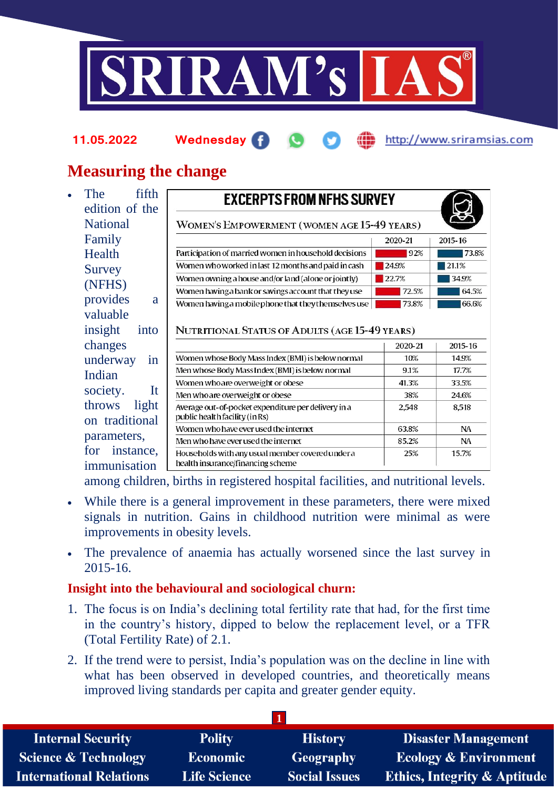

#### **11.05.2022 Wednesday** http://www.sriramsias.com

# **Measuring the change**

The fifth edition of the National Family **Health** Survey (NFHS) provides a valuable insight into changes underway in Indian society. It throws light on traditional parameters, for instance, Households with any usual member covered under a health insurance/financing scheme immunisation

| <b>EXCERPTS FROM NFHS SURVEY</b>                                                                                                          |         |           |
|-------------------------------------------------------------------------------------------------------------------------------------------|---------|-----------|
| WOMEN'S EMPOWERMENT (WOMEN AGE 15-49 YEARS)                                                                                               |         |           |
|                                                                                                                                           | 2020-21 | 2015-16   |
| Participation of married women in household decisions                                                                                     | 92%     | 73.8%     |
| Women who worked in last 12 months and paid in cash                                                                                       | 24.9%   | 21.1%     |
| Women owning a house and/or land (alone or jointly)                                                                                       | 22.7%   | 34.9%     |
| Women having a bank or savings account that they use                                                                                      | 72.5%   | 64.5%     |
| Women having a mobile phone that they themselves use                                                                                      | 73.8%   | 66.6%     |
|                                                                                                                                           |         |           |
| NUTRITIONAL STATUS OF ADULTS (AGE 15-49 YEARS)                                                                                            | 2020-21 | 2015-16   |
|                                                                                                                                           | 10%     | 14.9%     |
|                                                                                                                                           | 9.1%    | 17.7%     |
| Women whose Body Mass Index (BMI) is below normal<br>Men whose Body Mass Index (BMI) is below normal<br>Women who are overweight or obese | 41.3%   | 33.5%     |
| Men who are overweight or obese                                                                                                           | 38%     | 24.6%     |
| Average out-of-pocket expenditure per delivery in a<br>public health facility (in Rs)                                                     | 2,548   | 8.518     |
| Women who have ever used the internet                                                                                                     | 63.8%   | <b>NA</b> |

25%

15.7%

among children, births in registered hospital facilities, and nutritional levels.

- While there is a general improvement in these parameters, there were mixed signals in nutrition. Gains in childhood nutrition were minimal as were improvements in obesity levels.
- The prevalence of anaemia has actually worsened since the last survey in 2015-16.

## **Insight into the behavioural and sociological churn:**

- 1. The focus is on India's declining total fertility rate that had, for the first time in the country's history, dipped to below the replacement level, or a TFR (Total Fertility Rate) of 2.1.
- 2. If the trend were to persist, India's population was on the decline in line with what has been observed in developed countries, and theoretically means improved living standards per capita and greater gender equity.

| <b>Internal Security</b>        | <b>Polity</b>       | <b>History</b>       | <b>Disaster Management</b>              |  |  |
|---------------------------------|---------------------|----------------------|-----------------------------------------|--|--|
| <b>Science &amp; Technology</b> | <b>Economic</b>     | <b>Geography</b>     | <b>Ecology &amp; Environment</b>        |  |  |
| <b>International Relations</b>  | <b>Life Science</b> | <b>Social Issues</b> | <b>Ethics, Integrity &amp; Aptitude</b> |  |  |